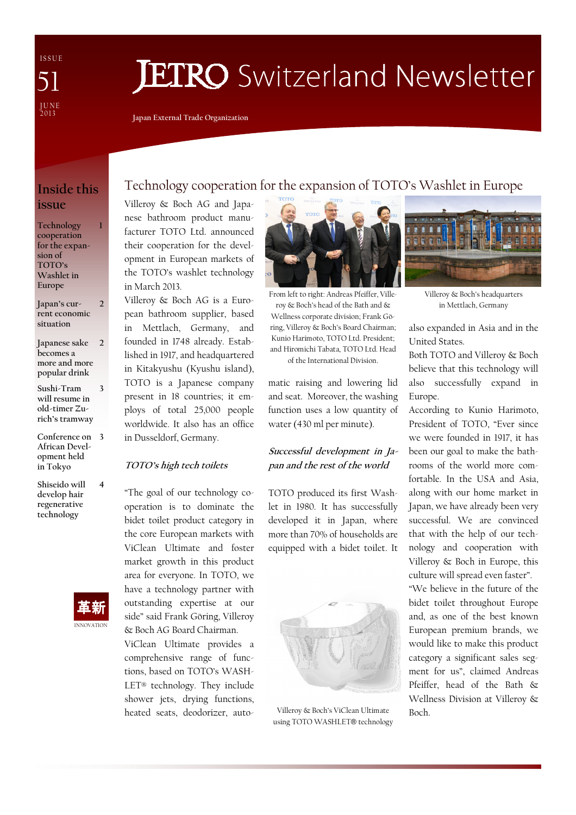I S S U E J U N E<br>2013 51

# **JETRO** Switzerland Newsletter

Japan External Trade Organization

### Inside this issue

1

2

Technology cooperation for the expansion of TOTO's Washlet in Europe

Japan's current economic situation

Japanese sake becomes a more and more popular drink  $\overline{\phantom{a}}$ 

Sushi-Tram will resume in old-timer Zurich's tramway 3

Conference on 3 African Development held in Tokyo

Shiseido will develop hair regenerative technology 4



### Technology cooperation for the expansion of TOTO's Washlet in Europe

Villeroy & Boch AG and Japanese bathroom product manufacturer TOTO Ltd. announced their cooperation for the development in European markets of the TOTO's washlet technology in March 2013.

Villeroy & Boch AG is a European bathroom supplier, based in Mettlach, Germany, and founded in 1748 already. Established in 1917, and headquartered in Kitakyushu (Kyushu island), TOTO is a Japanese company present in 18 countries; it employs of total 25,000 people worldwide. It also has an office in Dusseldorf, Germany.

#### TOTO's high tech toilets

"The goal of our technology cooperation is to dominate the bidet toilet product category in the core European markets with ViClean Ultimate and foster market growth in this product area for everyone. In TOTO, we have a technology partner with outstanding expertise at our side" said Frank Göring, Villeroy & Boch AG Board Chairman.

ViClean Ultimate provides a comprehensive range of functions, based on TOTO's WASH-LET® technology. They include shower jets, drying functions, heated seats, deodorizer, auto-



From left to right: Andreas Pfeiffer, Villeroy & Boch's head of the Bath and & Wellness corporate division; Frank Göring, Villeroy & Boch's Board Chairman; Kunio Harimoto, TOTO Ltd. President; and Hiromichi Tabata, TOTO Ltd. Head of the International Division.

matic raising and lowering lid and seat. Moreover, the washing function uses a low quantity of water (430 ml per minute).

### Successful development in Japan and the rest of the world

TOTO produced its first Washlet in 1980. It has successfully developed it in Japan, where more than 70% of households are equipped with a bidet toilet. It



Villeroy & Boch's ViClean Ultimate using TOTO WASHLET® technology



Villeroy & Boch's headquarters in Mettlach, Germany

also expanded in Asia and in the United States.

Both TOTO and Villeroy & Boch believe that this technology will also successfully expand in Europe.

According to Kunio Harimoto, President of TOTO, "Ever since we were founded in 1917, it has been our goal to make the bathrooms of the world more comfortable. In the USA and Asia, along with our home market in Japan, we have already been very successful. We are convinced that with the help of our technology and cooperation with Villeroy & Boch in Europe, this culture will spread even faster".

"We believe in the future of the bidet toilet throughout Europe and, as one of the best known European premium brands, we would like to make this product category a significant sales segment for us", claimed Andreas Pfeiffer, head of the Bath & Wellness Division at Villeroy & Boch.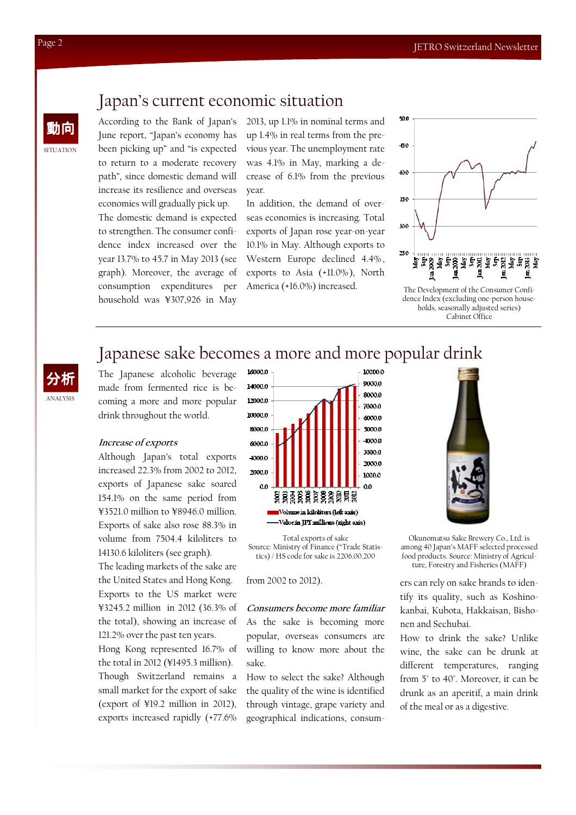# Japan's current economic situation

動向 According to the Bank of Japan's June report, "Japan's economy has been picking up" and "is expected to return to a moderate recovery path", since domestic demand will increase its resilience and overseas economies will gradually pick up. The domestic demand is expected to strengthen. The consumer confidence index increased over the year 13.7% to 45.7 in May 2013 (see graph). Moreover, the average of consumption expenditures per household was ¥307,926 in May

2013, up 1.1% in nominal terms and up 1.4% in real terms from the previous year. The unemployment rate was 4.1% in May, marking a decrease of 6.1% from the previous year.

In addition, the demand of overseas economies is increasing. Total exports of Japan rose year-on-year 10.1% in May. Although exports to Western Europe declined 4.4% , exports to Asia (+11.0%), North America (+16.0%) increased.



dence Index (excluding one-person households, seasonally adjusted series) Cabinet Office

# Japanese sake becomes a more and more popular drink

The Japanese alcoholic beverage made from fermented rice is becoming a more and more popular drink throughout the world.

### Increase of exports

Although Japan's total exports increased 22.3% from 2002 to 2012, exports of Japanese sake soared 154.1% on the same period from ¥3521.0 million to ¥8946.0 million. Exports of sake also rose 88.3% in volume from 7504.4 kiloliters to 14130.6 kiloliters (see graph).

The leading markets of the sake are the United States and Hong Kong. Exports to the US market were ¥3245.2 million in 2012 (36.3% of the total), showing an increase of 121.2% over the past ten years. Hong Kong represented 16.7% of

the total in 2012 (¥1495.3 million). Though Switzerland remains a small market for the export of sake (export of ¥19.2 million in 2012), exports increased rapidly (+77.6%



Total exports of sake Source: Ministry of Finance ("Trade Statistics) / HS code for sake is 2206.00.200

from 2002 to 2012).

Consumers become more familiar As the sake is becoming more popular, overseas consumers are willing to know more about the sake.

How to select the sake? Although the quality of the wine is identified through vintage, grape variety and geographical indications, consum-



Okunomatsu Sake Brewery Co., Ltd. is among 40 Japan's MAFF selected processed food products. Source: Ministry of Agriculture, Forestry and Fisheries (MAFF)

ers can rely on sake brands to identify its quality, such as Koshinokanbai, Kubota, Hakkaisan, Bishonen and Sechubai.

How to drink the sake? Unlike wine, the sake can be drunk at different temperatures, ranging from 5° to 40°. Moreover, it can be drunk as an aperitif, a main drink of the meal or as a digestive.

SITUATION

ANALYSIS 分析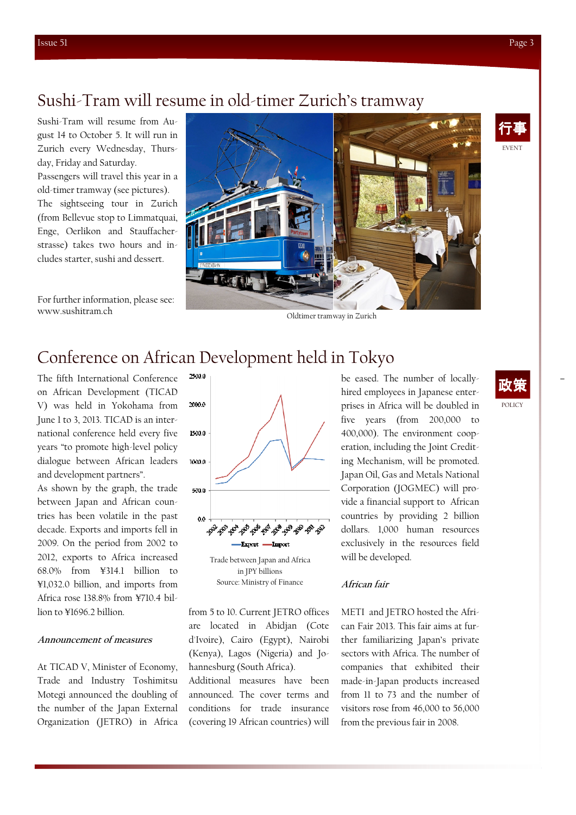Sushi-Tram will resume from August 14 to October 5. It will run in Zurich every Wednesday, Thursday, Friday and Saturday. Passengers will travel this year in a old-timer tramway (see pictures). The sightseeing tour in Zurich (from Bellevue stop to Limmatquai, Enge, Oerlikon and Stauffacherstrasse) takes two hours and includes starter, sushi and dessert.

For further information, please see: www.sushitram.ch



# Conference on African Development held in Tokyo

The fifth International Conference on African Development (TICAD V) was held in Yokohama from June 1 to 3, 2013. TICAD is an international conference held every five years "to promote high-level policy dialogue between African leaders and development partners".

As shown by the graph, the trade between Japan and African countries has been volatile in the past decade. Exports and imports fell in 2009. On the period from 2002 to 2012, exports to Africa increased 68.0% from ¥314.1 billion to ¥1,032.0 billion, and imports from Africa rose 138.8% from ¥710.4 billion to ¥1696.2 billion.

### Announcement of measures

At TICAD V, Minister of Economy, Trade and Industry Toshimitsu Motegi announced the doubling of the number of the Japan External Organization (JETRO) in Africa



from 5 to 10. Current JETRO offices are located in Abidjan (Cote d'Ivoire), Cairo (Egypt), Nairobi (Kenya), Lagos (Nigeria) and Johannesburg (South Africa).

Additional measures have been announced. The cover terms and conditions for trade insurance (covering 19 African countries) will

be eased. The number of locallyhired employees in Japanese enterprises in Africa will be doubled in five years (from 200,000 to 400,000). The environment cooperation, including the Joint Crediting Mechanism, will be promoted. Japan Oil, Gas and Metals National Corporation (JOGMEC) will provide a financial support to African countries by providing 2 billion dollars. 1,000 human resources exclusively in the resources field will be developed.

### African fair

METI and JETRO hosted the African Fair 2013. This fair aims at further familiarizing Japan's private sectors with Africa. The number of companies that exhibited their made-in-Japan products increased from 11 to 73 and the number of visitors rose from 46,000 to 56,000 from the previous fair in 2008.

# EVENT 行事